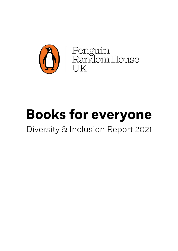

# **Books for everyone**

### Diversity & Inclusion Report 2021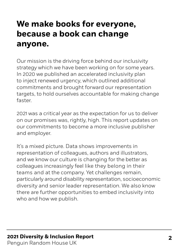### **We make books for everyone, because a book can change anyone.**

Our mission is the driving force behind our inclusivity strategy which we have been working on for some years. In 2020 we published an accelerated inclusivity plan to inject renewed urgency, which outlined additional commitments and brought forward our representation targets, to hold ourselves accountable for making change faster.

2021 was a critical year as the expectation for us to deliver on our promises was, rightly, high. This report updates on our commitments to become a more inclusive publisher and employer.

It's a mixed picture. Data shows improvements in representation of colleagues, authors and illustrators, and we know our culture is changing for the better as colleagues increasingly feel like they belong in their teams and at the company. Yet challenges remain, particularly around disability representation, socioeconomic diversity and senior leader representation. We also know there are further opportunities to embed inclusivity into who and how we publish.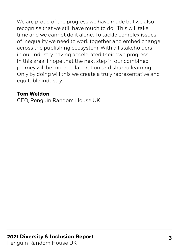We are proud of the progress we have made but we also recognise that we still have much to do. This will take time and we cannot do it alone. To tackle complex issues of inequality we need to work together and embed change across the publishing ecosystem. With all stakeholders in our industry having accelerated their own progress in this area, I hope that the next step in our combined journey will be more collaboration and shared learning. Only by doing will this we create a truly representative and equitable industry.

#### **Tom Weldon**

CEO, Penguin Random House UK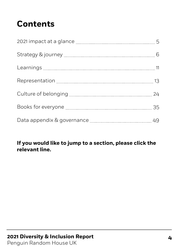### **Contents**

|                                                                                                        | 6  |
|--------------------------------------------------------------------------------------------------------|----|
|                                                                                                        |    |
|                                                                                                        |    |
|                                                                                                        |    |
|                                                                                                        |    |
| Data appendix & governance [11] manuscrim approximation of the state of the Data appendix & governance | 49 |

#### **If you would like to jump to a section, please click the relevant line.**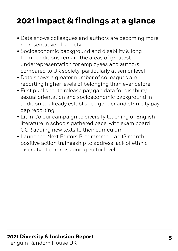### <span id="page-4-0"></span>**2021 impact & findings at a glance**

- Data shows colleagues and authors are becoming more representative of society
- Socioeconomic background and disability & long term conditions remain the areas of greatest underrepresentation for employees and authors compared to UK society, particularly at senior level
- Data shows a greater number of colleagues are reporting higher levels of belonging than ever before
- First publisher to release pay gap data for disability, sexual orientation and socioeconomic background in addition to already established gender and ethnicity pay gap reporting
- Lit in Colour campaign to diversify teaching of English literature in schools gathered pace, with exam board OCR adding new texts to their curriculum
- Launched Next Editors Programme an 18 month positive action traineeship to address lack of ethnic diversity at commissioning editor level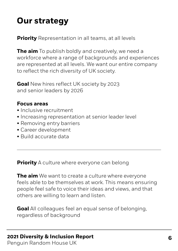### <span id="page-5-0"></span>**Our strategy**

**Priority** Representation in all teams, at all levels

**The aim** To publish boldly and creatively, we need a workforce where a range of backgrounds and experiences are represented at all levels. We want our entire company to reflect the rich diversity of UK society.

**Goal** New hires reflect UK society by 2023 and senior leaders by 2026

#### **Focus areas**

- Inclusive recruitment
- Increasing representation at senior leader level
- Removing entry barriers
- Career development
- Build accurate data

**Priority** A culture where everyone can belong

**The aim** We want to create a culture where everyone feels able to be themselves at work. This means ensuring people feel safe to voice their ideas and views, and that others are willing to learn and listen.

**Goal** All colleagues feel an equal sense of belonging, regardless of background

#### **2021 Diversity & Inclusion Report 6**

Penguin Random House UK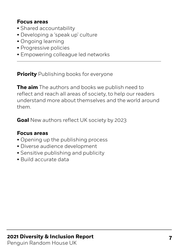#### **Focus areas**

- Shared accountability
- Developing a 'speak up' culture
- Ongoing learning
- Progressive policies
- Empowering colleague led networks

**Priority** Publishing books for everyone

**The aim** The authors and books we publish need to reflect and reach all areas of society, to help our readers understand more about themselves and the world around them.

**Goal** New authors reflect UK society by 2023

#### **Focus areas**

- Opening up the publishing process
- Diverse audience development
- Sensitive publishing and publicity
- Build accurate data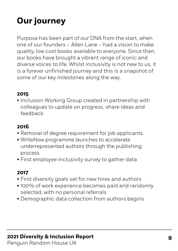## **Our journey**

Purpose has been part of our DNA from the start, when one of our founders – Allen Lane – had a vision to make quality, low cost books available to everyone. Since then, our books have brought a vibrant range of iconic and diverse voices to life. Whilst inclusivity is not new to us, it is a forever unfinished journey and this is a snapshot of some of our key milestones along the way.

#### **2015**

• Inclusion Working Group created in partnership with colleagues to update on progress, share ideas and feedback

#### **2016**

- Removal of degree requirement for job applicants
- WriteNow programme launches to accelerate underrepresented authors through the publishing process
- First employee inclusivity survey to gather data

#### **2017**

- First diversity goals set for new hires and authors
- 100% of work experience becomes paid and randomly selected, with no personal referrals
- Demographic data collection from authors begins

#### **2021 Diversity & Inclusion Report 8**

Penguin Random House UK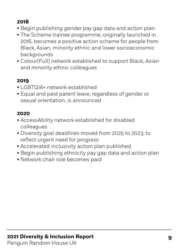#### **2018**

- Begin publishing gender pay gap data and action plan
- The Scheme trainee programme, originally launched in 2016, becomes a positive action scheme for people from Black, Asian, minority ethnic and lower socioeconomic backgrounds
- Colour[Full] network established to support Black, Asian and minority ethnic colleagues

#### **2019**

- LGBTQIA+ network established
- Equal and paid parent leave, regardless of gender or sexual orientation, is announced

#### **2020**

- AccessAbility network established for disabled colleagues
- Diversity goal deadlines moved from 2025 to 2023, to reflect urgent need for progress
- Accelerated inclusivity action plan published
- Begin publishing ethnicity pay gap data and action plan
- Network chair role becomes paid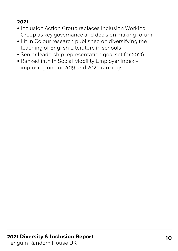#### **2021**

- Inclusion Action Group replaces Inclusion Working Group as key governance and decision making forum
- Lit in Colour research published on diversifying the teaching of English Literature in schools
- Senior leadership representation goal set for 2026
- Ranked 14th in Social Mobility Employer Index improving on our 2019 and 2020 rankings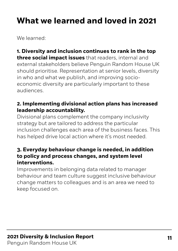### <span id="page-10-0"></span>**What we learned and loved in 2021**

We learned:

**1. Diversity and inclusion continues to rank in the top three social impact issues** that readers, internal and external stakeholders believe Penguin Random House UK should prioritise. Representation at senior levels, diversity in who and what we publish, and improving socioeconomic diversity are particularly important to these audiences.

#### **2. Implementing divisional action plans has increased leadership accountability.**

Divisional plans complement the company inclusivity strategy but are tailored to address the particular inclusion challenges each area of the business faces. This has helped drive local action where it's most needed.

#### **3. Everyday behaviour change is needed, in addition to policy and process changes, and system level interventions.**

Improvements in belonging data related to manager behaviour and team culture suggest inclusive behaviour change matters to colleagues and is an area we need to keep focused on.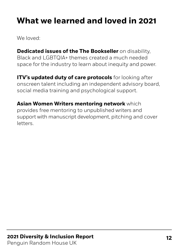### **What we learned and loved in 2021**

We loved:

**Dedicated issues of the The Bookseller** on disability, Black and LGBTQIA+ themes created a much needed space for the industry to learn about inequity and power.

**ITV's updated duty of care protocols** for looking after onscreen talent including an independent advisory board, social media training and psychological support.

**Asian Women Writers mentoring network** which provides free mentoring to unpublished writers and support with manuscript development, pitching and cover letters.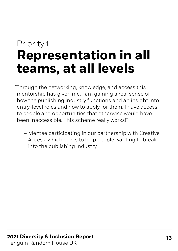## <span id="page-12-0"></span>Priority 1 **Representation in all teams, at all levels**

 "Through the networking, knowledge, and access this mentorship has given me, I am gaining a real sense of how the publishing industry functions and an insight into entry-level roles and how to apply for them. I have access to people and opportunities that otherwise would have been inaccessible. This scheme really works!"

– Mentee participating in our partnership with Creative Access, which seeks to help people wanting to break into the publishing industry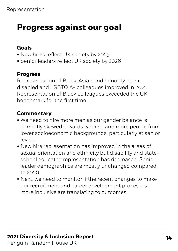#### **Goals**

- New hires reflect UK society by 2023
- Senior leaders reflect UK society by 2026

#### **Progress**

Representation of Black, Asian and minority ethnic, disabled and LGBTQIA+ colleagues improved in 2021. Representation of Black colleagues exceeded the UK benchmark for the first time.

#### **Commentary**

- We need to hire more men as our gender balance is currently skewed towards women, and more people from lower socioeconomic backgrounds, particularly at senior levels.
- New hire representation has improved in the areas of sexual orientation and ethnicity but disability and stateschool educated representation has decreased. Senior leader demographics are mostly unchanged compared to 2020.
- Next, we need to monitor if the recent changes to make our recruitment and career development processes more inclusive are translating to outcomes.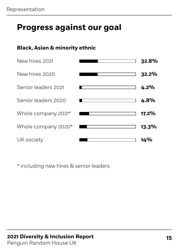#### **Black, Asian & minority ethnic**

| New hires 2021      | 32.8%    |
|---------------------|----------|
| New hires 2020      | 32.2%    |
| Senior leaders 2021 | 4.2%     |
| Senior leaders 2020 | 4.8%     |
| Whole company 2021* | $17.2\%$ |
| Whole company 2020* | $13.3\%$ |
| UK society          | 14%      |

\* including new hires & senior leaders

#### **2021 Diversity & Inclusion Report 15**

Penguin Random House UK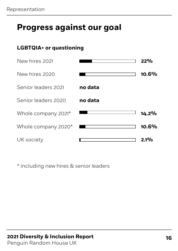#### **LGBTQIA+ or questioning**

| New hires 2021      |         | 22%      |
|---------------------|---------|----------|
| New hires 2020      |         | $10.6\%$ |
| Senior leaders 2021 | no data |          |
| Senior leaders 2020 | no data |          |
| Whole company 2021* |         | $14.2\%$ |
| Whole company 2020* |         | 10.6%    |
| UK society          |         | $2.1\%$  |

\* including new hires & senior leaders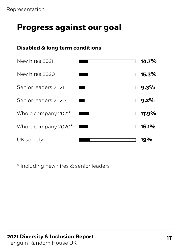#### **Disabled & long term conditions**

| New hires 2021      | 14.7%   |
|---------------------|---------|
| New hires 2020      | 15.3%   |
| Senior leaders 2021 | 9.3%    |
| Senior leaders 2020 | $9.2\%$ |
| Whole company 2021* | 17.9%   |
| Whole company 2020* | 16.1%   |
| UK society          | 19%     |

\* including new hires & senior leaders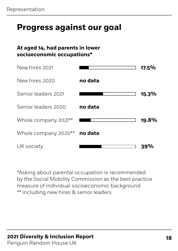#### **At aged 14, had parents in lower socioeconomic occupations\***



\*Asking about parental occupation is recommended by the Social Mobility Commission as the best practice measure of individual socioeconomic background \*\* including new hires & senior leaders

### **2021 Diversity & Inclusion Report 18**

Penguin Random House UK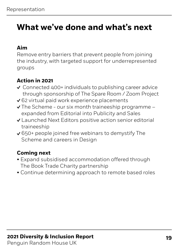#### **Aim**

Remove entry barriers that prevent people from joining the industry, with targeted support for underrepresented groups

#### **Action in 2021**

- Connected 400+ individuals to publishing career advice through sponsorship of The Spare Room / Zoom Project
- ◆ 62 virtual paid work experience placements
- $\vee$  The Scheme our six month traineeship programme expanded from Editorial into Publicity and Sales
- Launched Next Editors positive action senior editorial traineeship
- ◆ 650+ people joined free webinars to demystify The Scheme and careers in Design

- Expand subsidised accommodation offered through The Book Trade Charity partnership
- Continue determining approach to remote based roles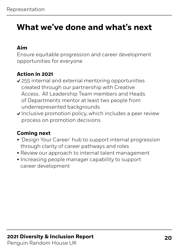#### **Aim**

Ensure equitable progression and career development opportunities for everyone

#### **Action in 2021**

- 255 internal and external mentoring opportunities created through our partnership with Creative Access. All Leadership Team members and Heads of Departments mentor at least two people from underrepresented backgrounds
- Inclusive promotion policy, which includes a peer review process on promotion decisions

- 'Design Your Career' hub to support internal progression through clarity of career pathways and roles
- Review our approach to internal talent management
- Increasing people manager capability to support career development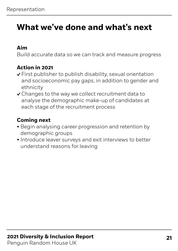#### **Aim**

Build accurate data so we can track and measure progress

#### **Action in 2021**

- First publisher to publish disability, sexual orientation and socioeconomic pay gaps, in addition to gender and ethnicity
- Changes to the way we collect recruitment data to analyse the demographic make-up of candidates at each stage of the recruitment process

- Begin analysing career progression and retention by demographic groups
- Introduce leaver surveys and exit interviews to better understand reasons for leaving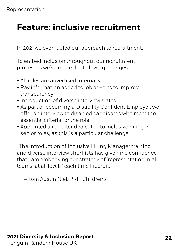### **Feature: inclusive recruitment**

In 2021 we overhauled our approach to recruitment.

To embed inclusion throughout our recruitment processes we've made the following changes:

- All roles are advertised internally
- Pay information added to job adverts to improve transparency
- Introduction of diverse interview slates
- As part of becoming a Disability Confident Employer, we offer an interview to disabled candidates who meet the essential criteria for the role
- Appointed a recruiter dedicated to inclusive hiring in senior roles, as this is a particular challenge

"The introduction of Inclusive Hiring Manager training and diverse interview shortlists has given me confidence that I am embodying our strategy of 'representation in all teams, at all levels' each time I recruit."

– Tom Austin Niel, PRH Children's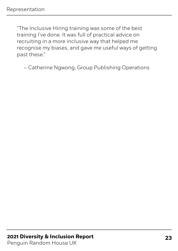"The Inclusive Hiring training was some of the best training I've done. It was full of practical advice on recruiting in a more inclusive way that helped me recognise my biases, and gave me useful ways of getting past these."

– Catherine Ngwong, Group Publishing Operations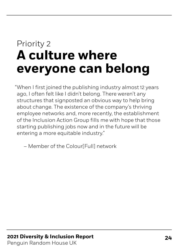## <span id="page-23-0"></span>Priority 2 **A culture where everyone can belong**

When I first joined the publishing industry almost 12 years " ago, I often felt like I didn't belong. There weren't any structures that signposted an obvious way to help bring about change. The existence of the company's thriving employee networks and, more recently, the establishment of the Inclusion Action Group fills me with hope that those starting publishing jobs now and in the future will be entering a more equitable industry."

– Member of the Colour[Full] network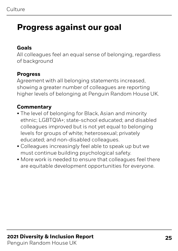#### **Goals**

All colleagues feel an equal sense of belonging, regardless of background

#### **Progress**

Agreement with all belonging statements increased, showing a greater number of colleagues are reporting higher levels of belonging at Penguin Random House UK.

#### **Commentary**

- The level of belonging for Black, Asian and minority ethnic; LGBTQIA+; state-school educated; and disabled colleagues improved but is not yet equal to belonging levels for groups of white; heterosexual; privately educated; and non-disabled colleagues.
- Colleagues increasingly feel able to speak up but we must continue building psychological safety.
- More work is needed to ensure that colleagues feel there are equitable development opportunities for everyone.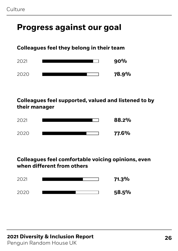#### **Colleagues feel they belong in their team**



#### **Colleagues feel supported, valued and listened to by their manager**



#### **Colleagues feel comfortable voicing opinions, even when different from others**



#### **2021 Diversity & Inclusion Report 26**

Penguin Random House UK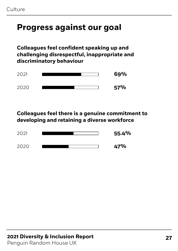**Colleagues feel confident speaking up and challenging disrespectful, inappropriate and discriminatory behaviour**



**Colleagues feel there is a genuine commitment to developing and retaining a diverse workforce**



#### **27 2021 Diversity & Inclusion Report** Penguin Random House UK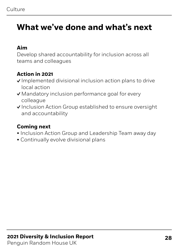#### **Aim**

Develop shared accountability for inclusion across all teams and colleagues

#### **Action in 2021**

- $\vee$  Implemented divisional inclusion action plans to drive local action
- Mandatory inclusion performance goal for every colleague
- √ Inclusion Action Group established to ensure oversight and accountability

- Inclusion Action Group and Leadership Team away day
- Continually evolve divisional plans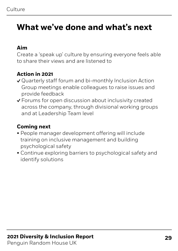#### **Aim**

Create a 'speak up' culture by ensuring everyone feels able to share their views and are listened to

#### **Action in 2021**

- Quarterly staff forum and bi-monthly Inclusion Action Group meetings enable colleagues to raise issues and provide feedback
- Forums for open discussion about inclusivity created across the company, through divisional working groups and at Leadership Team level

- People manager development offering will include training on inclusive management and building psychological safety
- Continue exploring barriers to psychological safety and identify solutions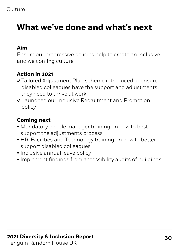#### **Aim**

Ensure our progressive policies help to create an inclusive and welcoming culture

#### **Action in 2021**

- Tailored Adjustment Plan scheme introduced to ensure disabled colleagues have the support and adjustments they need to thrive at work
- Launched our Inclusive Recruitment and Promotion policy

- Mandatory people manager training on how to best support the adjustments process
- HR, Facilities and Technology training on how to better support disabled colleagues
- Inclusive annual leave policy
- Implement findings from accessibility audits of buildings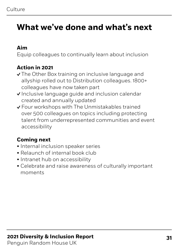#### **Aim**

Equip colleagues to continually learn about inclusion

#### **Action in 2021**

- √ The Other Box training on inclusive language and allyship rolled out to Distribution colleagues. 1800+ colleagues have now taken part
- Inclusive language guide and inclusion calendar created and annually updated
- Four workshops with The Unmistakables trained over 500 colleagues on topics including protecting talent from underrepresented communities and event accessibility

- Internal inclusion speaker series
- Relaunch of internal book club
- Intranet hub on accessibility
- Celebrate and raise awareness of culturally important moments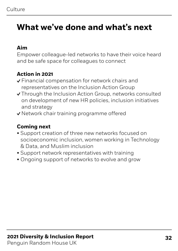#### **Aim**

Empower colleague-led networks to have their voice heard and be safe space for colleagues to connect

#### **Action in 2021**

- Financial compensation for network chairs and representatives on the Inclusion Action Group
- Through the Inclusion Action Group, networks consulted on development of new HR policies, inclusion initiatives and strategy
- ◆ Network chair training programme offered

- Support creation of three new networks focused on socioeconomic inclusion, women working in Technology & Data, and Muslim inclusion
- Support network representatives with training
- Ongoing support of networks to evolve and grow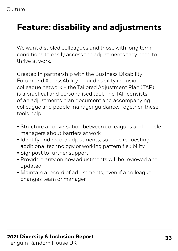### **Feature: disability and adjustments**

We want disabled colleagues and those with long term conditions to easily access the adjustments they need to thrive at work.

Created in partnership with the Business Disability Forum and AccessAbility – our disability inclusion colleague network – the Tailored Adjustment Plan (TAP) is a practical and personalised tool. The TAP consists of an adjustments plan document and accompanying colleague and people manager guidance. Together, these tools help:

- Structure a conversation between colleagues and people managers about barriers at work
- Identify and record adjustments, such as requesting additional technology or working pattern flexibility
- Signpost to further support
- Provide clarity on how adjustments will be reviewed and updated
- Maintain a record of adjustments, even if a colleague changes team or manager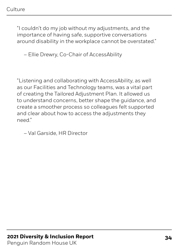"I couldn't do my job without my adjustments, and the importance of having safe, supportive conversations around disability in the workplace cannot be overstated."

– Ellie Drewry, Co-Chair of AccessAbility

"Listening and collaborating with AccessAbility, as well as our Facilities and Technology teams, was a vital part of creating the Tailored Adjustment Plan. It allowed us to understand concerns, better shape the guidance, and create a smoother process so colleagues felt supported and clear about how to access the adjustments they need."

– Val Garside, HR Director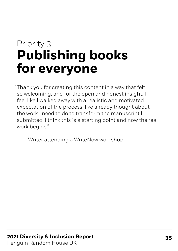## <span id="page-34-0"></span>Priority 3 **Publishing books for everyone**

Thank you for creating this content in a way that felt " so welcoming, and for the open and honest insight. I feel like I walked away with a realistic and motivated expectation of the process. I've already thought about the work I need to do to transform the manuscript I submitted. I think this is a starting point and now the real work begins."

– Writer attending a WriteNow workshop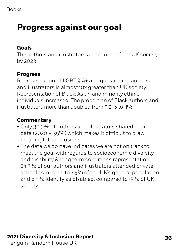#### **Goals**

The authors and illustrators we acquire reflect UK society by 2023

#### **Progress**

Representation of LGBTQIA+ and questioning authors and illustrators is almost 10x greater than UK society. Representation of Black, Asian and minority ethnic individuals increased. The proportion of Black authors and illustrators more than doubled from 5.2% to 11%.

#### **Commentary**

- Only 30.3% of authors and illustrators shared their data (2020 – 35%) which makes it difficult to draw meaningful conclusions.
- The data we do have indicates we are not on track to meet the goal with regards to socioeconomic diversity and disability & long term conditions representation. 24.3% of our authors and illustrators attended private school compared to 7.5% of the UK's general population and 8.4% identify as disabled, compared to 19% of UK society.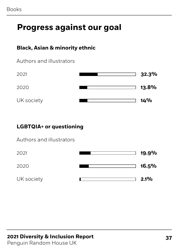# **Progress against our goal**

#### **Black, Asian & minority ethnic**



| 2021       | 32.3%        |
|------------|--------------|
| 2020       | <b>13.8%</b> |
| UK society | 14%          |

#### **LGBTQIA+ or questioning**

| Authors and illustrators |  |
|--------------------------|--|
|--------------------------|--|

| 2021       | $19.9\%$ |
|------------|----------|
| 2020       | 16.5%    |
| UK society | 2.1%     |

#### **37 2021 Diversity & Inclusion Report**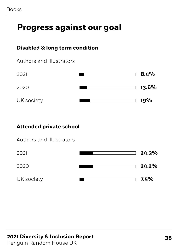# **Progress against our goal**

#### **Disabled & long term condition**



| 2021       | 8.4%  |
|------------|-------|
| 2020       | 13.6% |
| UK society | 19%   |

#### **Attended private school**

Authors and illustrators



#### **2021 Diversity & Inclusion Report 38**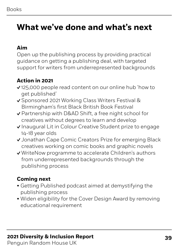# **What we've done and what's next**

#### **Aim**

Open up the publishing process by providing practical guidance on getting a publishing deal, with targeted support for writers from underrepresented backgrounds

#### **Action in 2021**

- 125,000 people read content on our online hub 'how to get published'
- ◆ Sponsored 2021 Working Class Writers Festival & Birmingham's first Black British Book Festival
- Partnership with D&AD Shift, a free night school for creatives without degrees to learn and develop
- √ Inaugural Lit in Colour Creative Student prize to engage 14-18 year olds
- ◆ Jonathan Cape Comic Creators Prize for emerging Black creatives working on comic books and graphic novels
- WriteNow programme to accelerate Children's authors from underrepresented backgrounds through the publishing process

#### **Coming next**

- Getting Published podcast aimed at demystifying the publishing process
- Widen eligibility for the Cover Design Award by removing educational requirement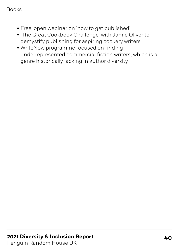#### Books

- Free, open webinar on 'how to get published'
- 'The Great Cookbook Challenge' with Jamie Oliver to demystify publishing for aspiring cookery writers
- WriteNow programme focused on finding underrepresented commercial fiction writers, which is a genre historically lacking in author diversity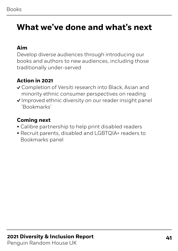## **What we've done and what's next**

#### **Aim**

Develop diverse audiences through introducing our books and authors to new audiences, including those traditionally under-served

#### **Action in 2021**

- Completion of Versiti research into Black, Asian and minority ethnic consumer perspectives on reading
- $\vee$  Improved ethnic diversity on our reader insight panel 'Bookmarks'

#### **Coming next**

- Calibre partnership to help print disabled readers
- Recruit parents, disabled and LGBTQIA+ readers to Bookmarks panel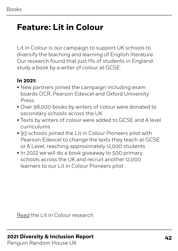# **Feature: Lit in Colour**

Lit in Colour is our campaign to support UK schools to diversify the teaching and learning of English literature. Our research found that just 1% of students in England study a book by a writer of colour at GCSE.

#### **In 2021:**

- New partners joined the campaign including exam boards OCR, Pearson Edexcel and Oxford University Press
- Over 98,000 books by writers of colour were donated to secondary schools across the UK
- Texts by writers of colour were added to GCSE and A level curriculums
- 93 schools joined the Lit in Colour Pioneers pilot with Pearson Edexcel to change the texts they teach at GCSE or A Level, reaching approximately 12,000 students
- In 2022 we will do a book giveaway to 500 primary schools across the UK and recruit another 12,000 learners to our Lit in Colour Pioneers pilot

[Read](https://litincolour.penguin.co.uk/) the Lit in Colour research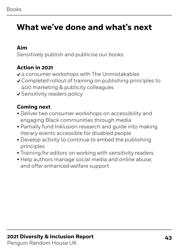# **What we've done and what's next**

#### **Aim**

Sensitively publish and publicise our books

#### **Action in 2021**

- ◆ 4 consumer workshops with The Unmistakables
- Completed rollout of training on publishing principles to 400 marketing & publicity colleagues
- ↓ Sensitivity readers policy

#### **Coming next**

- Deliver two consumer workshops on accessibility and engaging Black communities through media
- Partially fund Inklusion research and guide into making literary events accessible for disabled people
- Develop activity to continue to embed the publishing principles
- Training for editors on working with sensitivity readers
- Help authors manage social media and online abuse, and offer enhanced welfare support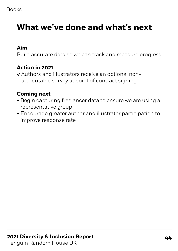# **What we've done and what's next**

#### **Aim**

Build accurate data so we can track and measure progress

#### **Action in 2021**

Authors and illustrators receive an optional nonattributable survey at point of contract signing

#### **Coming next**

- Begin capturing freelancer data to ensure we are using a representative group
- Encourage greater author and illustrator participation to improve response rate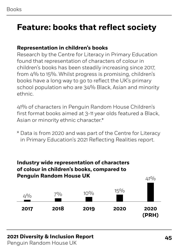# **Feature: books that reflect society**

#### **Representation in children's books**

Research by the Centre for Literacy in Primary Education found that representation of characters of colour in children's books has been steadily increasing since 2017, from 4% to 15%. Whilst progress is promising, children's books have a long way to go to reflect the UK's primary school population who are 34% Black, Asian and minority ethnic.

41% of characters in Penguin Random House Children's first format books aimed at 3-11 year olds featured a Black, Asian or minority ethnic character.\*

\* Data is from 2020 and was part of the Centre for Literacy in Primary Education's 2021 Reflecting Realities report.

#### **Industry wide representation of characters of colour in children's books, compared to Penguin Random House UK**



#### **2021 Diversity & Inclusion Report 45**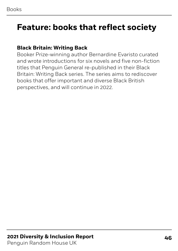### **Feature: books that reflect society**

#### **Black Britain: Writing Back**

Booker Prize-winning author Bernardine Evaristo curated and wrote introductions for six novels and five non-fiction titles that Penguin General re-published in their Black Britain: Writing Back series. The series aims to rediscover books that offer important and diverse Black British perspectives, and will continue in 2022.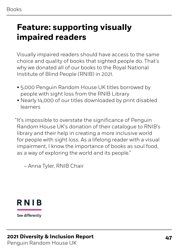#### Books

# **Feature: supporting visually impaired readers**

Visually impaired readers should have access to the same choice and quality of books that sighted people do. That's why we donated all of our books to the Royal National Institute of Blind People (RNIB) in 2021.

- 5,000 Penguin Random House UK titles borrowed by people with sight loss from the RNIB Library
- Nearly 14,000 of our titles downloaded by print disabled learners

 "It's impossible to overstate the significance of Penguin Random House UK's donation of their catalogue to RNIB's library and their help in creating a more inclusive world for people with sight loss. As a lifelong reader with a visual impairment, I know the importance of books as soul food, as a way of exploring the world and its people."

– Anna Tyler, RNIB Chair



See differently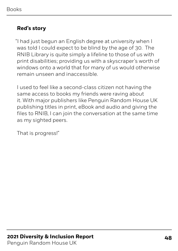#### **Red's story**

 "I had just begun an English degree at university when I was told I could expect to be blind by the age of 30. The RNIB Library is quite simply a lifeline to those of us with print disabilities; providing us with a skyscraper's worth of windows onto a world that for many of us would otherwise remain unseen and inaccessible.

I used to feel like a second-class citizen not having the same access to books my friends were raving about it. With major publishers like Penguin Random House UK publishing titles in print, eBook and audio and giving the files to RNIB, I can join the conversation at the same time as my sighted peers.

That is progress!"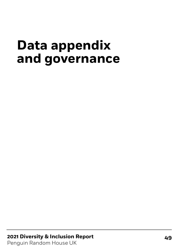# **Data appendix and governance**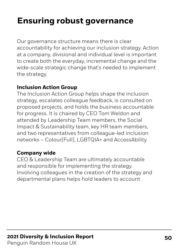# **Ensuring robust governance**

Our governance structure means there is clear accountability for achieving our inclusion strategy. Action at a company, divisional and individual level is important to create both the everyday, incremental change and the wide-scale strategic change that's needed to implement the strategy.

#### **Inclusion Action Group**

The Inclusion Action Group helps shape the inclusion strategy, escalates colleague feedback, is consulted on proposed projects, and holds the business accountable for progress. It is chaired by CEO Tom Weldon and attended by Leadership Team members, the Social Impact & Sustainability team, key HR team members, and two representatives from colleague-led inclusion networks – Colour[Full], LGBTQIA+ and AccessAbility.

#### **Company wide**

CEO & Leadership Team are ultimately accountable and responsible for implementing the strategy. Involving colleagues in the creation of the strategy and departmental plans helps hold leaders to account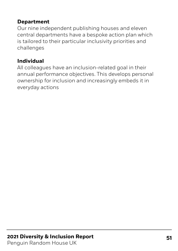#### **Department**

Our nine independent publishing houses and eleven central departments have a bespoke action plan which is tailored to their particular inclusivity priorities and challenges

#### **Individual**

All colleagues have an inclusion-related goal in their annual performance objectives. This develops personal ownership for inclusion and increasingly embeds it in everyday actions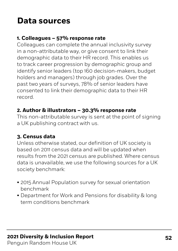# **Data sources**

#### **1. Colleagues – 57% response rate**

Colleagues can complete the annual inclusivity survey in a non-attributable way, or give consent to link their demographic data to their HR record. This enables us to track career progression by demographic group and identify senior leaders (top 160 decision-makers, budget holders and managers) through job grades. Over the past two years of surveys, 78% of senior leaders have consented to link their demographic data to their HR record.

#### **2. Author & illustrators – 30.3% response rate**

This non-attributable survey is sent at the point of signing a UK publishing contract with us.

#### **3. Census data**

Unless otherwise stated, our definition of UK society is based on 2011 census data and will be updated when results from the 2021 census are published. Where census data is unavailable, we use the following sources for a UK society benchmark:

- 2015 Annual Population survey for sexual orientation benchmark
- Department for Work and Pensions for disability & long term conditions benchmark

### **2021 Diversity & Inclusion Report 52**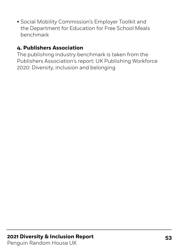• Social Mobility Commission's Employer Toolkit and the Department for Education for Free School Meals benchmark

#### **4. Publishers Association**

The publishing industry benchmark is taken from the Publishers Association's report: UK Publishing Workforce 2020: Diversity, inclusion and belonging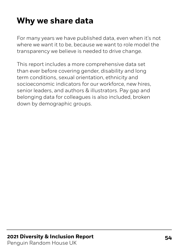# **Why we share data**

For many years we have published data, even when it's not where we want it to be, because we want to role model the transparency we believe is needed to drive change.

This report includes a more comprehensive data set than ever before covering gender, disability and long term conditions, sexual orientation, ethnicity and socioeconomic indicators for our workforce, new hires, senior leaders, and authors & illustrators. Pay gap and belonging data for colleagues is also included, broken down by demographic groups.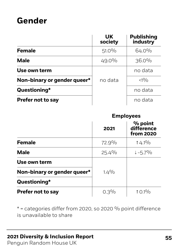### **Gender**

|                             | <b>UK</b><br>society | <b>Publishing</b><br>industry |
|-----------------------------|----------------------|-------------------------------|
| <b>Female</b>               | $51.0\%$             | 64.0%                         |
| <b>Male</b>                 | $49.0\%$             | $36.0\%$                      |
| Use own term                |                      | no data                       |
| Non-binary or gender queer* | no data              | <10/0                         |
| Questioning*                |                      | no data                       |
| <b>Prefer not to say</b>    |                      | no data                       |

|                             | <b>Employees</b> |                                    |
|-----------------------------|------------------|------------------------------------|
|                             | 2021             | % point<br>difference<br>from 2020 |
| <b>Female</b>               | 72.9%            | $14.1\%$                           |
| <b>Male</b>                 | $25.4\%$         | $1 - 5.7\%$                        |
| Use own term                |                  |                                    |
| Non-binary or gender queer* | $1.4\%$          |                                    |
| Questioning*                |                  |                                    |
| <b>Prefer not to say</b>    | $0.3\%$          | $10.1\%$                           |

 $*$  = categories differ from 2020, so 2020 % point difference is unavailable to share

#### **2021 Diversity & Inclusion Report 55**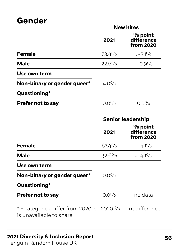### **Gender**

#### **New hires**

|                             | 2021     | % point<br>difference<br>from 2020 |
|-----------------------------|----------|------------------------------------|
| <b>Female</b>               | 73.4%    | $\downarrow$ -3.1%                 |
| <b>Male</b>                 | $22.6\%$ | $1 - 0.9\%$                        |
| Use own term                |          |                                    |
| Non-binary or gender queer* | $4.0\%$  |                                    |
| Questioning*                |          |                                    |
| <b>Prefer not to say</b>    | $0.0\%$  | ∩ ∩%                               |

#### **Senior leadership**

|                             | 2021     | % point<br>difference<br>from 2020 |
|-----------------------------|----------|------------------------------------|
| <b>Female</b>               | 67.4%    | $\downarrow$ -4.1%                 |
| <b>Male</b>                 | $32.6\%$ | $\downarrow$ -4.1%                 |
| Use own term                |          |                                    |
| Non-binary or gender queer* | $0.0\%$  |                                    |
| Questioning*                |          |                                    |
| <b>Prefer not to say</b>    | $0.0\%$  | no data                            |

 $*$  = categories differ from 2020, so 2020 % point difference is unavailable to share

#### **2021 Diversity & Inclusion Report 56**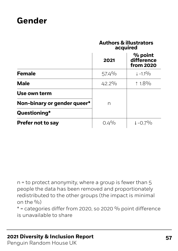### **Gender**

#### **Authors & illustrators acquired**

|                             | 2021     | % point<br>difference<br>from 2020 |
|-----------------------------|----------|------------------------------------|
| <b>Female</b>               | $57.4\%$ | $\downarrow -1.1\%$                |
| <b>Male</b>                 | $42.2\%$ | $1.8\%$                            |
| Use own term                |          |                                    |
| Non-binary or gender queer* | n        |                                    |
| Questioning*                |          |                                    |
| <b>Prefer not to say</b>    | $0.4\%$  | $\downarrow$ -0.7%                 |

n = to protect anonymity, where a group is fewer than 5 people the data has been removed and proportionately redistributed to the other groups (the impact is minimal on the  $\frac{0}{0}$ 

 $*$  = categories differ from 2020, so 2020 % point difference is unavailable to share

#### **57 2021 Diversity & Inclusion Report**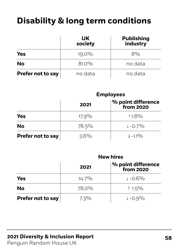# **Disability & long term conditions**

|                          | <b>UK</b><br>society | <b>Publishing</b><br>industry |
|--------------------------|----------------------|-------------------------------|
| <b>Yes</b>               | $19.0\%$             | $8\%$                         |
| <b>No</b>                | $81.0\%$             | no data                       |
| <b>Prefer not to say</b> | no data              | no data                       |

#### **Employees**

**New hires**

|                          | 2021     | $ %$ point difference<br>from 2020 |
|--------------------------|----------|------------------------------------|
| <b>Yes</b>               | $17.9\%$ | $1.8\%$                            |
| <b>No</b>                | 78.5%    | $\downarrow$ -0.7%                 |
| <b>Prefer not to say</b> | $3.6\%$  | $\downarrow -1.1\%$                |

|                          | NEW IIIES |                                             |  |
|--------------------------|-----------|---------------------------------------------|--|
|                          | 2021      | $\frac{9}{6}$ point difference<br>from 2020 |  |
| <b>Yes</b>               | $14.7\%$  | $1 - 0.6\%$                                 |  |
| <b>No</b>                | 78.0%     | $1.5\%$                                     |  |
| <b>Prefer not to say</b> | $7.3\%$   | $1 - 0.9\%$                                 |  |

#### **2021 Diversity & Inclusion Report 58**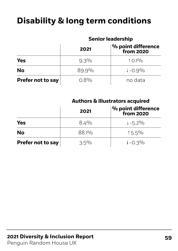# **Disability & long term conditions**

#### **Senior leadership**

|                          | 2021     | $ %$ point difference<br>from 2020 |
|--------------------------|----------|------------------------------------|
| <b>Yes</b>               | $9.3\%$  | $10.1\%$                           |
| <b>No</b>                | $89.9\%$ | $1 - 0.9\%$                        |
| <b>Prefer not to say</b> | $0.8\%$  | no data                            |

#### **Authors & illustrators acquired**

|                          | 2021    | $\vert$ % point difference<br>$\vert$ from 2020 |
|--------------------------|---------|-------------------------------------------------|
| <b>Yes</b>               | $8.4\%$ | $\downarrow$ -5.2%                              |
| <b>No</b>                | 88.1%   | $15.5\%$                                        |
| <b>Prefer not to say</b> | $3.5\%$ | $1 - 0.3\%$                                     |

### **2021 Diversity & Inclusion Report 59**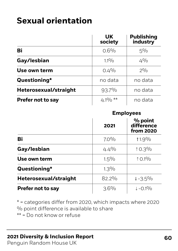|                          | <b>UK</b><br>society | <b>Publishing</b><br>industry |
|--------------------------|----------------------|-------------------------------|
| Bi                       | $0.6\%$              | $5\%$                         |
| Gay/lesbian              | $1.1\%$              | $4\frac{0}{0}$                |
| Use own term             | $0.4\%$              | $2^{0}/_{0}$                  |
| Questioning*             | no data              | no data                       |
| Heterosexual/straight    | $93.7\%$             | no data                       |
| <b>Prefer not to say</b> | 4.1% $**$            | no data                       |

#### **Employees**

|                          | 2021    | % point<br>difference<br>from 2020 |
|--------------------------|---------|------------------------------------|
| Bi                       | $7.0\%$ | $11.9\%$                           |
| Gay/lesbian              | $4.4\%$ | $10.3\%$                           |
| Use own term             | $1.5\%$ | $10.1\%$                           |
| Questioning*             | $1.3\%$ |                                    |
| Heterosexual/straight    | 82.2%   | $1 - 3.5\%$                        |
| <b>Prefer not to say</b> | $3.6\%$ | $\downarrow$ -0.1%                 |

\* = categories differ from 2020, which impacts where 2020 % point difference is available to share \*\* = Do not know or refuse

#### **2021 Diversity & Inclusion Report 60**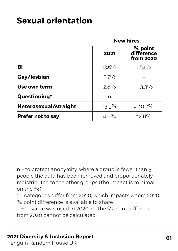|                          | <b>New hires</b> |                                    |
|--------------------------|------------------|------------------------------------|
|                          | 2021             | % point<br>difference<br>from 2020 |
| Bi                       | $13.6\%$         | $15.1\%$                           |
| Gay/lesbian              | $5.7\%$          |                                    |
| Use own term             | $2.8\%$          | $1 - 3.3\%$                        |
| Questioning*             | n                |                                    |
| Heterosexual/straight    | 73.9%            | $\downarrow$ -10.2%                |
| <b>Prefer not to say</b> | $4.0\%$          | $12.8\%$                           |

n = to protect anonymity, where a group is fewer than 5 people the data has been removed and proportionately redistributed to the other groups (the impact is minimal on the  $\frac{0}{0}$ 

\* = categories differ from 2020, which impacts where 2020 % point difference is available to share

 $-$  = 'n' value was used in 2020, so the % point difference from 2020 cannot be calculated

#### **61 2021 Diversity & Inclusion Report**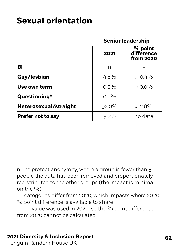#### **Senior leadership**

|                          | 2021     | % point<br>difference<br><b>from 2020</b> |
|--------------------------|----------|-------------------------------------------|
| Bi                       | n        |                                           |
| Gay/lesbian              | $4.8\%$  | $1 - 0.4\%$                               |
| Use own term             | $0.0\%$  | $\rightarrow$ 0.0%                        |
| Questioning*             | $0.0\%$  |                                           |
| Heterosexual/straight    | $92.0\%$ | $1 - 2.8\%$                               |
| <b>Prefer not to say</b> | $3.2\%$  | no data                                   |

n = to protect anonymity, where a group is fewer than 5 people the data has been removed and proportionately redistributed to the other groups (the impact is minimal on the  $\%$ )

\* = categories differ from 2020, which impacts where 2020 % point difference is available to share

 $-$  = 'n' value was used in 2020, so the % point difference from 2020 cannot be calculated

#### **2021 Diversity & Inclusion Report 62**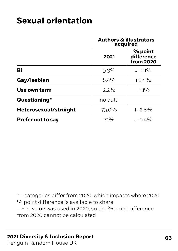#### **Authors & illustrators acquired**

|                          | 2021    | % point<br>difference<br>from 2020 |
|--------------------------|---------|------------------------------------|
| Bi                       | $9.3\%$ | $\downarrow$ -0.1%                 |
| Gay/lesbian              | $8.4\%$ | $12.4\%$                           |
| Use own term             | $2.2\%$ | $1.1\%$                            |
| Questioning*             | no data |                                    |
| Heterosexual/straight    | 73.0%   | $1 - 2.8\%$                        |
| <b>Prefer not to say</b> | $7.1\%$ | $1 - 0.4\%$                        |

\* = categories differ from 2020, which impacts where 2020 % point difference is available to share  $-$  = 'n' value was used in 2020, so the % point difference from 2020 cannot be calculated

#### **2021 Diversity & Inclusion Report 63**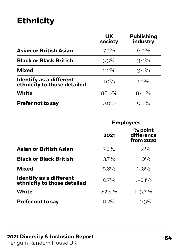|                                                               | <b>UK</b><br>society | <b>Publishing</b><br>industry |
|---------------------------------------------------------------|----------------------|-------------------------------|
| <b>Asian or British Asian</b>                                 | $7.5\%$              | $6.0\%$                       |
| <b>Black or Black British</b>                                 | $3.3\%$              | $3.0\%$                       |
| <b>Mixed</b>                                                  | $2.2\%$              | $3.0\%$                       |
| <b>Identify as a different</b><br>ethnicity to those detailed | $1.0\%$              | $1.0\%$                       |
| <b>White</b>                                                  | 86.0%                | 87.0%                         |
| <b>Prefer not to say</b>                                      | $0.0\%$              | $0.0\%$                       |

#### **Employees**

|                                                        | 2021    | % point<br>difference<br><b>from 2020</b> |
|--------------------------------------------------------|---------|-------------------------------------------|
| <b>Asian or British Asian</b>                          | $7.0\%$ | $11.4\%$                                  |
| <b>Black or Black British</b>                          | $3.7\%$ | $11.0\%$                                  |
| <b>Mixed</b>                                           | $5.8\%$ | $11.6\%$                                  |
| Identify as a different<br>ethnicity to those detailed | $0.7\%$ | $1 - 0.1\%$                               |
| <b>White</b>                                           | 82.6%   | $\downarrow$ -3.7%                        |
| <b>Prefer not to say</b>                               | $0.2\%$ | $1 - 0.3\%$                               |

#### **2021 Diversity & Inclusion Report 64**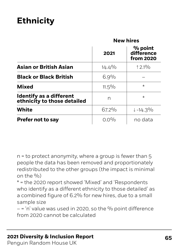|                                                        | <b>New hires</b> |                                           |
|--------------------------------------------------------|------------------|-------------------------------------------|
|                                                        | 2021             | % point<br>difference<br><b>from 2020</b> |
| <b>Asian or British Asian</b>                          | $14.4\%$         | $12.1\%$                                  |
| <b>Black or Black British</b>                          | $6.9\%$          |                                           |
| <b>Mixed</b>                                           | $11.5\%$         | $\star$                                   |
| Identify as a different<br>ethnicity to those detailed | n                | $\star$                                   |
| <b>White</b>                                           | 67.2%            | $\downarrow$ -14.3%                       |
| <b>Prefer not to say</b>                               | $0.0\%$          | no data                                   |

n = to protect anonymity, where a group is fewer than 5 people the data has been removed and proportionately redistributed to the other groups (the impact is minimal on the  $\%$ )

\* = the 2020 report showed 'Mixed' and 'Respondents who identify as a different ethnicity to those detailed' as a combined figure of 6.2% for new hires, due to a small sample size

 $-$  = 'n' value was used in 2020, so the % point difference from 2020 cannot be calculated

#### **2021 Diversity & Inclusion Report 65**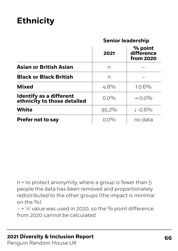#### **Senior leadership**

|                                                        | 2021     | % point<br>difference<br><b>from 2020</b> |
|--------------------------------------------------------|----------|-------------------------------------------|
| <b>Asian or British Asian</b>                          | n        |                                           |
| <b>Black or Black British</b>                          | n        |                                           |
| <b>Mixed</b>                                           | $4.8\%$  | $10.6\%$                                  |
| Identify as a different<br>ethnicity to those detailed | $0.0\%$  | $\rightarrow$ 0.0%                        |
| <b>White</b>                                           | $95.2\%$ | $1 - 0.6\%$                               |
| <b>Prefer not to say</b>                               | $0.0\%$  | no data                                   |

n = to protect anonymity, where a group is fewer than 5 people the data has been removed and proportionately redistributed to the other groups (the impact is minimal on the  $\frac{0}{0}$ 

 $-$  = 'n' value was used in 2020, so the % point difference from 2020 cannot be calculated

#### **2021 Diversity & Inclusion Report 66**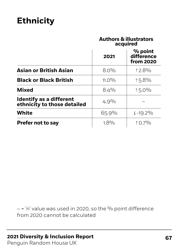#### **Authors & illustrators acquired**

|                                                               | 2021     | % point<br>difference<br>from 2020 |
|---------------------------------------------------------------|----------|------------------------------------|
| <b>Asian or British Asian</b>                                 | $8.0\%$  | $12.8\%$                           |
| <b>Black or Black British</b>                                 | $11.0\%$ | $15.8\%$                           |
| <b>Mixed</b>                                                  | $8.4\%$  | $15.0\%$                           |
| <b>Identify as a different</b><br>ethnicity to those detailed | $4.9\%$  |                                    |
| <b>White</b>                                                  | 65.9%    | $\downarrow$ -19.2%                |
| <b>Prefer not to say</b>                                      | $1.8\%$  | $10.7\%$                           |

 $-$  = 'n' value was used in 2020, so the % point difference from 2020 cannot be calculated

#### **67 2021 Diversity & Inclusion Report**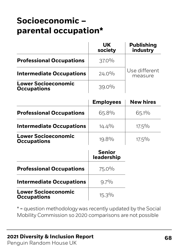# **Socioeconomic – parental occupation\***

|                                                  | UK<br>society | <b>Publishing</b><br>industry |
|--------------------------------------------------|---------------|-------------------------------|
| <b>Professional Occupations</b>                  | $37.0\%$      |                               |
| <b>Intermediate Occupations</b>                  | $24.0\%$      | Use different<br>measure      |
| <b>Lower Socioeconomic</b><br><b>Occupations</b> | $39.0\%$      |                               |

|                                                  | <b>Employees</b> | <b>New hires</b> |
|--------------------------------------------------|------------------|------------------|
| <b>Professional Occupations</b>                  | 65.8%            | $65.1\%$         |
| <b>Intermediate Occupations</b>                  | $14.4\%$         | $17.5\%$         |
| <b>Lower Socioeconomic</b><br><b>Occupations</b> | $19.8\%$         | $17.5\%$         |

|                                                  | <b>Senior</b><br>leadership |
|--------------------------------------------------|-----------------------------|
| <b>Professional Occupations</b>                  | 75.0%                       |
| <b>Intermediate Occupations</b>                  | $9.7\%$                     |
| <b>Lower Socioeconomic</b><br><b>Occupations</b> | $15.3\%$                    |

\* = question methodology was recently updated by the Social Mobility Commission so 2020 comparisons are not possible

#### **2021 Diversity & Inclusion Report 68**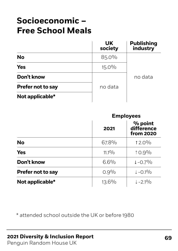# **Socioeconomic – Free School Meals**

|                          | <b>UK</b><br>society | <b>Publishing</b><br>industry |
|--------------------------|----------------------|-------------------------------|
| <b>No</b>                | 85.0%                |                               |
| <b>Yes</b>               | $15.0\%$             |                               |
| Don't know               |                      | no data                       |
| <b>Prefer not to say</b> | no data              |                               |
| Not applicable*          |                      |                               |

|                          | <b>Employees</b> |                                    |
|--------------------------|------------------|------------------------------------|
|                          | 2021             | % point<br>difference<br>from 2020 |
| <b>No</b>                | 67.8%            | $12.0\%$                           |
| <b>Yes</b>               | $11.1\%$         | $10.9\%$                           |
| Don't know               | $6.6\%$          | $\downarrow$ -0.7%                 |
| <b>Prefer not to say</b> | $0.9\%$          | $\downarrow$ -0.1%                 |
| Not applicable*          | $13.6\%$         | $\downarrow -2.1\%$                |

\* attended school outside the UK or before 1980

#### **2021 Diversity & Inclusion Report 69**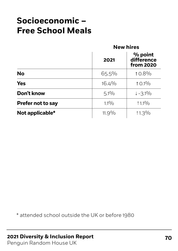# **Socioeconomic – Free School Meals**

|                          | <b>New hires</b> |                                           |
|--------------------------|------------------|-------------------------------------------|
|                          | 2021             | % point<br>difference<br><b>from 2020</b> |
| <b>No</b>                | $65.5\%$         | $10.8\%$                                  |
| <b>Yes</b>               | $16.4\%$         | $10.1\%$                                  |
| Don't know               | $5.1\%$          | $\downarrow$ -3.1%                        |
| <b>Prefer not to say</b> | $1.1\%$          | $1.1\%$                                   |
| Not applicable*          | $11.9\%$         | $11.3\%$                                  |

\* attended school outside the UK or before 1980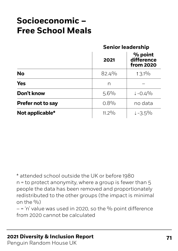# **Socioeconomic – Free School Meals**

#### **Senior leadership**

|                          | 2021     | % point<br>difference<br><b>from 2020</b> |
|--------------------------|----------|-------------------------------------------|
| <b>No</b>                | 82.4%    | $13.1\%$                                  |
| <b>Yes</b>               | n        |                                           |
| Don't know               | $5.6\%$  | $1 - 0.4\%$                               |
| <b>Prefer not to say</b> | $0.8\%$  | no data                                   |
| Not applicable*          | $11.2\%$ | $1 - 3.5\%$                               |

\* attended school outside the UK or before 1980 n = to protect anonymity, where a group is fewer than 5 people the data has been removed and proportionately redistributed to the other groups (the impact is minimal on the  $\frac{0}{0}$ )

 $-$  = 'n' value was used in 2020, so the % point difference from 2020 cannot be calculated

#### **71 2021 Diversity & Inclusion Report**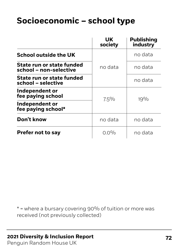# **Socioeconomic – school type**

|                                                            | UK<br>society | <b>Publishing</b><br>industry |
|------------------------------------------------------------|---------------|-------------------------------|
| <b>School outside the UK</b>                               | no data       | no data                       |
| <b>State run or state funded</b><br>school - non-selective |               | no data                       |
| State run or state funded<br>school - selective            |               | no data                       |
| Independent or<br>fee paying school                        | $7.5\%$       | $19\%$                        |
| Independent or<br>fee paying school*                       |               |                               |
| Don't know                                                 | no data       | no data                       |
| <b>Prefer not to say</b>                                   | $0.0\%$       | no data                       |

 $*$  = where a bursary covering 90% of tuition or more was received (not previously collected)

#### **2021 Diversity & Inclusion Report 72**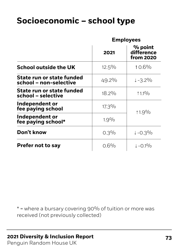|                                                     | <b>Employees</b> |                                           |
|-----------------------------------------------------|------------------|-------------------------------------------|
|                                                     | 2021             | % point<br>difference<br><b>from 2020</b> |
| <b>School outside the UK</b>                        | $12.5\%$         | $10.6\%$                                  |
| State run or state funded<br>school – non-selective | $49.2\%$         | $1 - 3.2\%$                               |
| State run or state funded<br>school - selective     | $18.2\%$         | $11^{0}/0$                                |
| Independent or<br>fee paying school                 | $17.3\%$         | ↑1.9 <sup>0</sup> /0                      |
| Independent or<br>fee paying school*                | $1.9\%$          |                                           |
| Don't know                                          | $0.3\%$          | $1 - 0.3\%$                               |
| <b>Prefer not to say</b>                            | $0.6\%$          | $\downarrow$ -0.1%                        |

 $*$  = where a bursary covering 90% of tuition or more was received (not previously collected)

### **2021 Diversity & Inclusion Report 73**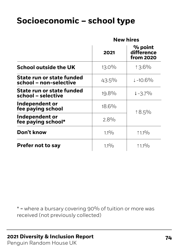|                                                        | <b>New hires</b> |                                    |
|--------------------------------------------------------|------------------|------------------------------------|
|                                                        | 2021             | % point<br>difference<br>from 2020 |
| <b>School outside the UK</b>                           | $13.0\%$         | 13.6%                              |
| State run or state funded<br>school - non-selective    | $43.5\%$         | $\downarrow$ -10.6%                |
| <b>State run or state funded</b><br>school - selective | 19.8%            | $\downarrow$ -3.7%                 |
| Independent or<br>fee paying school                    | 18.6%            | $18.5\%$                           |
| Independent or<br>fee paying school*                   | $2.8\%$          |                                    |
| Don't know                                             | $1.1\%$          | $11.1\%$                           |
| <b>Prefer not to say</b>                               | $1.1\%$          | $1.1\%$                            |

 $*$  = where a bursary covering 90% of tuition or more was received (not previously collected)

#### **2021 Diversity & Inclusion Report 74**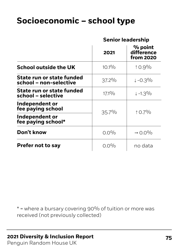#### **Senior leadership**

|                                                     | 2021     | % point<br>difference<br>from 2020 |
|-----------------------------------------------------|----------|------------------------------------|
| <b>School outside the UK</b>                        | $10.1\%$ | $10.9\%$                           |
| State run or state funded<br>school – non-selective | $37.2\%$ | $1 - 0.3\%$                        |
| State run or state funded<br>school - selective     | $17.1\%$ | $\downarrow$ -1.3%                 |
| Independent or<br>fee paying school                 | $35.7\%$ | $10.7\%$                           |
| Independent or<br>fee paying school*                |          |                                    |
| Don't know                                          | $0.0\%$  | $\rightarrow$ 0.0%                 |
| <b>Prefer not to say</b>                            | $0.0\%$  | no data                            |

 $*$  = where a bursary covering 90% of tuition or more was received (not previously collected)

### **2021 Diversity & Inclusion Report 75**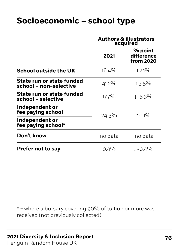#### **Authors & illustrators acquired**

|                                                     | 2021     | % point<br>difference<br>from 2020 |
|-----------------------------------------------------|----------|------------------------------------|
| <b>School outside the UK</b>                        | $16.4\%$ | $12.1\%$                           |
| State run or state funded<br>school – non-selective | $41.2\%$ | $13.5\%$                           |
| State run or state funded<br>school - selective     | $17.7\%$ | $1 - 5.3\%$                        |
| Independent or<br>fee paying school                 | $24.3\%$ | $10.1\%$                           |
| Independent or<br>fee paying school*                |          |                                    |
| Don't know                                          | no data  | no data                            |
| <b>Prefer not to say</b>                            | $0.4\%$  | $1 - 0.4\%$                        |

 $*$  = where a bursary covering 90% of tuition or more was received (not previously collected)

#### **2021 Diversity & Inclusion Report 76**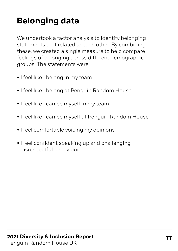We undertook a factor analysis to identify belonging statements that related to each other. By combining these, we created a single measure to help compare feelings of belonging across different demographic groups. The statements were:

- I feel like I belong in my team
- I feel like I belong at Penguin Random House
- I feel like I can be myself in my team
- I feel like I can be myself at Penguin Random House
- I feel comfortable voicing my opinions
- I feel confident speaking up and challenging disrespectful behaviour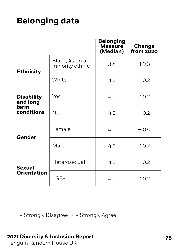|                                                     |                                     | <b>Belonging</b><br><b>Measure</b><br>(Median) | <b>Change</b><br>from 2020 |
|-----------------------------------------------------|-------------------------------------|------------------------------------------------|----------------------------|
| <b>Ethnicity</b>                                    | Black, Asian and<br>minority ethnic | 3.8                                            | 10.3                       |
|                                                     | White                               | 4.2                                            | $\uparrow$ 0.2             |
| <b>Disability</b><br>and long<br>term<br>conditions | Yes                                 | 4.0                                            | $\uparrow$ 0.2             |
|                                                     | No                                  | 4.2                                            | $\uparrow$ 0.2             |
| Gender                                              | Female                              | 4.0                                            | $\rightarrow$ 0.0          |
|                                                     | Male                                | 4.2                                            | $\uparrow$ 0.2             |
| <b>Sexual</b><br><b>Orientation</b>                 | Heterosexual                        | 4.2                                            | $\uparrow$ 0.2             |
|                                                     | $LGB+$                              | 4.0                                            | $\uparrow$ 0.2             |

1 = Strongly Disagree 5 = Strongly Agree

### **2021 Diversity & Inclusion Report 78**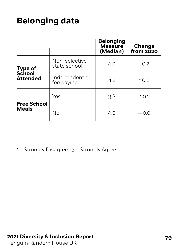|                                    |                               | <b>Belonging</b><br><b>Measure</b><br>(Median) | <b>Change</b><br>from 2020 |
|------------------------------------|-------------------------------|------------------------------------------------|----------------------------|
| <b>Type of</b>                     | Non-selective<br>state school | 4.0                                            | $\uparrow$ 0.2             |
| <b>School</b><br><b>Attended</b>   | Independent or<br>fee paying  | 4.2                                            | $\uparrow$ 0.2             |
| <b>Free School</b><br><b>Meals</b> | Yes                           | 3.8                                            | $\uparrow$ 0.1             |
|                                    | No                            | 4.O                                            | $\rightarrow$ 0.0          |

1 = Strongly Disagree 5 = Strongly Agree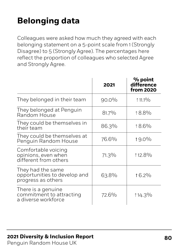Colleagues were asked how much they agreed with each belonging statement on a 5-point scale from 1 (Strongly Disagree) to 5 (Strongly Agree). The percentages here reflect the proportion of colleagues who selected Agree and Strongly Agree.

|                                                                         | 2021     | % point<br>difference<br>from 2020 |
|-------------------------------------------------------------------------|----------|------------------------------------|
| They belonged in their team                                             | $90.0\%$ | $11.1\%$                           |
| They belonged at Penguin<br>Random House                                | $81.7\%$ | 18.8%                              |
| They could be themselves in<br>their team                               | 86.3%    | 18.6%                              |
| They could be themselves at<br>Penguin Random House                     | 76.6%    | $19.0\%$                           |
| Comfortable voicing<br>opinions, even when<br>different from others     | $71.3\%$ | 112.8%                             |
| They had the same<br>opportunities to develop and<br>progress as others | 63.8%    | $16.2\%$                           |
| There is a genuine<br>commitment to attracting<br>a diverse workforce   | 72.6%    | $14.3\%$                           |

### **2021 Diversity & Inclusion Report 600 and 80**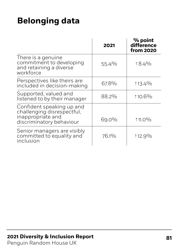|                                                                                                          | 2021     | % point<br>difference<br><b>from 2020</b> |
|----------------------------------------------------------------------------------------------------------|----------|-------------------------------------------|
| There is a genuine<br>commitment to developing<br>and retaining a diverse<br>workforce                   | $55.4\%$ | $18.4\%$                                  |
| Perspectives like theirs are<br>included in decision-making                                              | 67.8%    | $13.4\%$                                  |
| Supported, valued and<br>listened to by their manager                                                    | 88.2%    | 110.6%                                    |
| Confident speaking up and<br>challenging disrespectful,<br>inappropriate and<br>discriminatory behaviour | 69.0%    | $11.0\%$                                  |
| Senior managers are visibly<br>committed to equality and<br>inclusion                                    | 76.1%    | $112.9\%$                                 |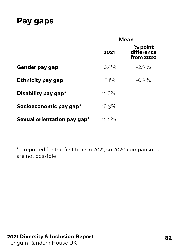### **Pay gaps**

|                             | <b>Mean</b> |                                           |
|-----------------------------|-------------|-------------------------------------------|
|                             | 2021        | % point<br>difference<br><b>from 2020</b> |
| <b>Gender pay gap</b>       | $10.4\%$    | $-2.9\%$                                  |
| <b>Ethnicity pay gap</b>    | $15.1\%$    | $-0.9\%$                                  |
| Disability pay gap*         | $21.6\%$    |                                           |
| Socioeconomic pay gap*      | $16.3\%$    |                                           |
| Sexual orientation pay gap* | $12.2\%$    |                                           |

 $*$  = reported for the first time in 2021, so 2020 comparisons are not possible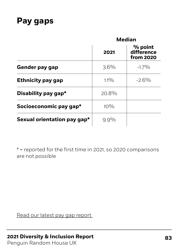### **Pay gaps**

|                             | <b>Median</b> |                                           |
|-----------------------------|---------------|-------------------------------------------|
|                             | 2021          | % point<br>difference<br><b>from 2020</b> |
| <b>Gender pay gap</b>       | $3.6\%$       | $-1.7\%$                                  |
| <b>Ethnicity pay gap</b>    | $1.1\%$       | $-2.6\%$                                  |
| Disability pay gap*         | $20.8\%$      |                                           |
| Socioeconomic pay gap*      | $10\%$        |                                           |
| Sexual orientation pay gap* | $9.9\%$       |                                           |

 $*$  = reported for the first time in 2021, so 2020 comparisons are not possible

[Read](https://www.penguin.co.uk/company/about-us/notices/gender-pay-gap-reports.html) our latest pay gap report